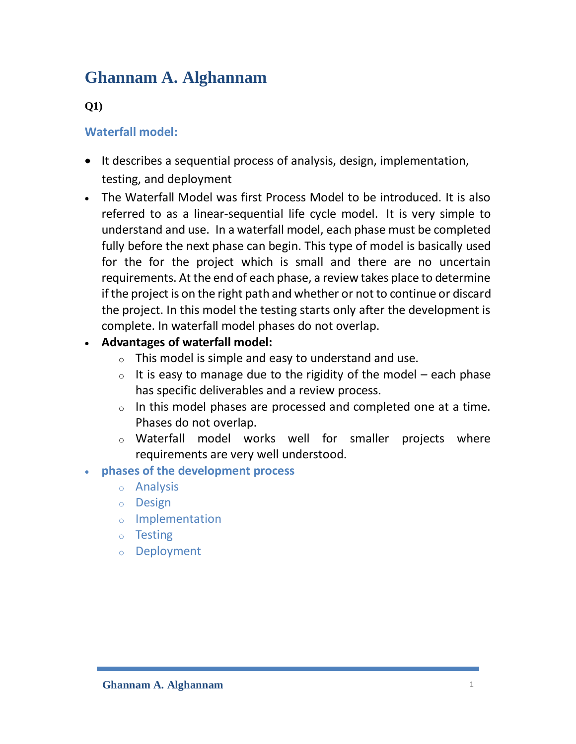# **Ghannam A. Alghannam**

### **Q1)**

### **Waterfall model:**

- It describes a sequential process of analysis, design, implementation, testing, and deployment
- The Waterfall Model was first Process Model to be introduced. It is also referred to as a linear-sequential life cycle model. It is very simple to understand and use. In a waterfall model, each phase must be completed fully before the next phase can begin. This type of model is basically used for the for the project which is small and there are no uncertain requirements. At the end of each phase, a review takes place to determine if the project is on the right path and whether or not to continue or discard the project. In this model the testing starts only after the development is complete. In waterfall model phases do not overlap.
- **Advantages of waterfall model:**
	- $\circ$  This model is simple and easy to understand and use.
	- $\circ$  It is easy to manage due to the rigidity of the model each phase has specific deliverables and a review process.
	- $\circ$  In this model phases are processed and completed one at a time. Phases do not overlap.
	- o Waterfall model works well for smaller projects where requirements are very well understood.

#### **phases of the development process**

- o Analysis
- o Design
- o Implementation
- o Testing
- o Deployment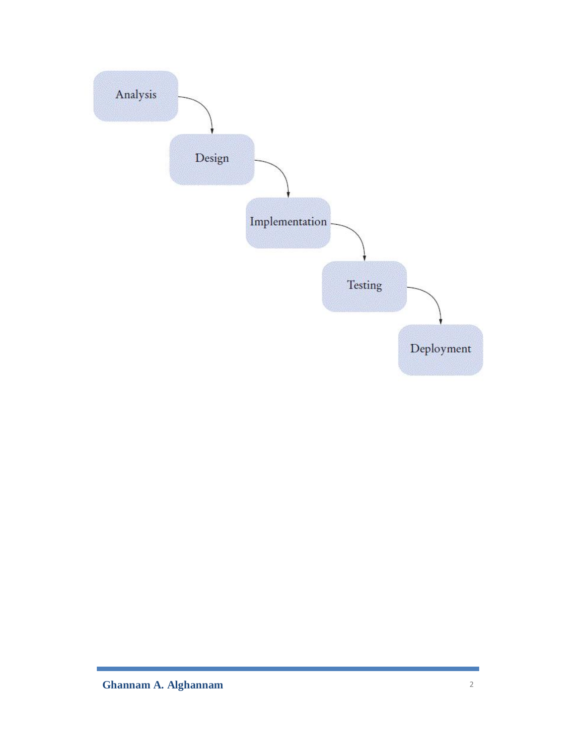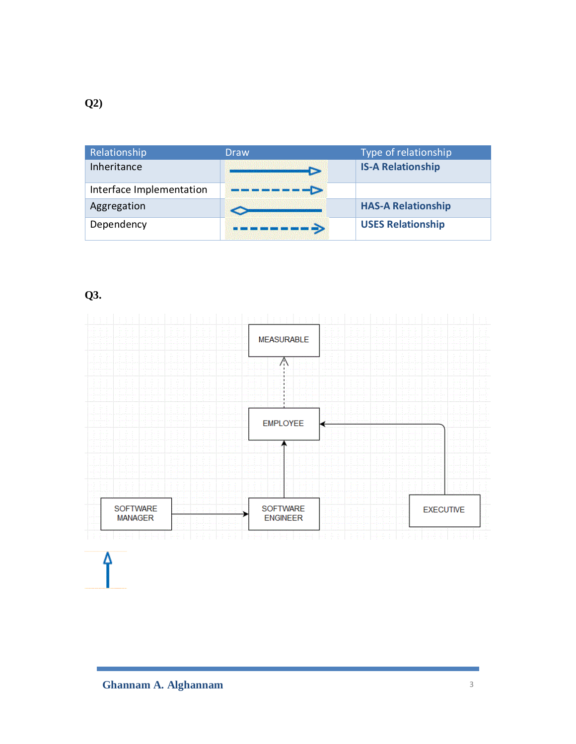| Relationship             | Draw | Type of relationship      |
|--------------------------|------|---------------------------|
| Inheritance              |      | <b>IS-A Relationship</b>  |
| Interface Implementation |      |                           |
| Aggregation              |      | <b>HAS-A Relationship</b> |
| Dependency               |      | <b>USES Relationship</b>  |

## **Q3.**

Δ

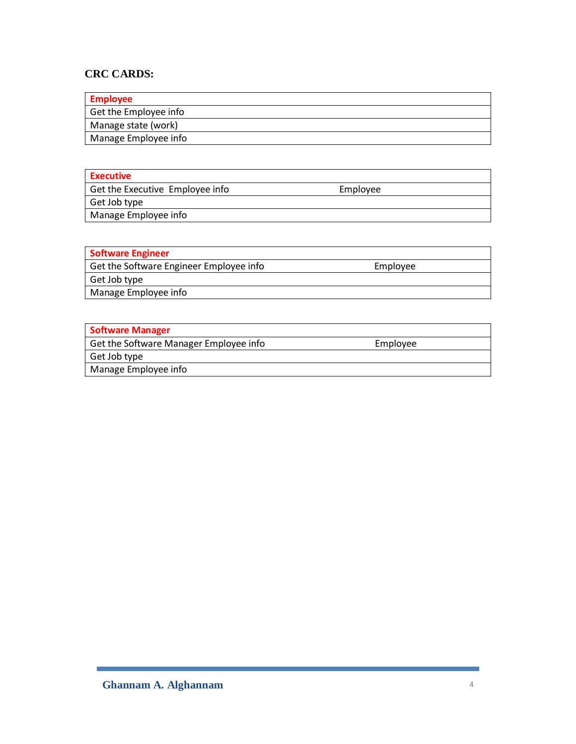#### **CRC CARDS:**

| <b>Employee</b>       |
|-----------------------|
| Get the Employee info |
| Manage state (work)   |
| Manage Employee info  |

| Executive                       |          |  |
|---------------------------------|----------|--|
| Get the Executive Employee info | Employee |  |
| Get Job type                    |          |  |
| Manage Employee info            |          |  |

| <b>Software Engineer</b>                |          |
|-----------------------------------------|----------|
| Get the Software Engineer Employee info | Employee |
| Get Job type                            |          |
| Manage Employee info                    |          |
|                                         |          |

| Software Manager                       |          |  |
|----------------------------------------|----------|--|
| Get the Software Manager Employee info | Employee |  |
| Get Job type                           |          |  |
| Manage Employee info                   |          |  |
|                                        |          |  |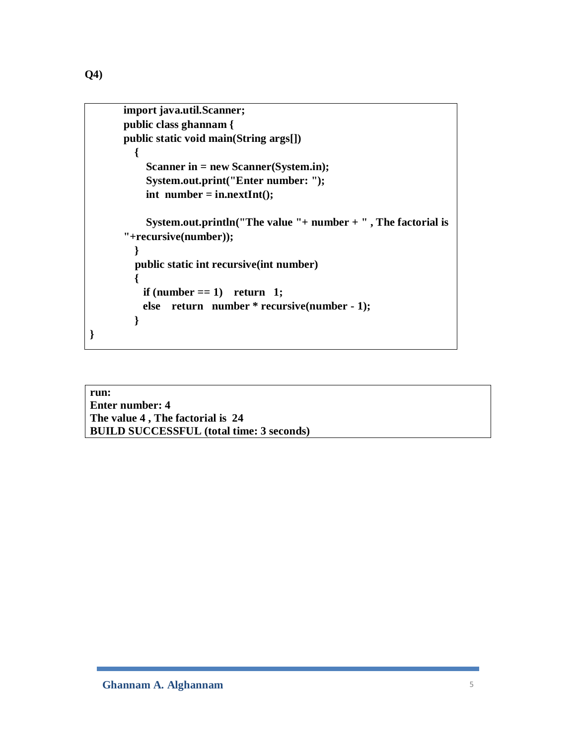**}**

```
import java.util.Scanner;
public class ghannam {
public static void main(String args[])
   { 
     Scanner in = new Scanner(System.in);
     System.out.print("Enter number: ");
     int number = in.nextInt();
     System.out.println("The value "+ number + " , The factorial is 
"+recursive(number));
   }
   public static int recursive(int number) 
   {
    if (number == 1) return 1;
     else return number * recursive(number - 1);
   }
```
**run: Enter number: 4 The value 4 , The factorial is 24 BUILD SUCCESSFUL (total time: 3 seconds)**